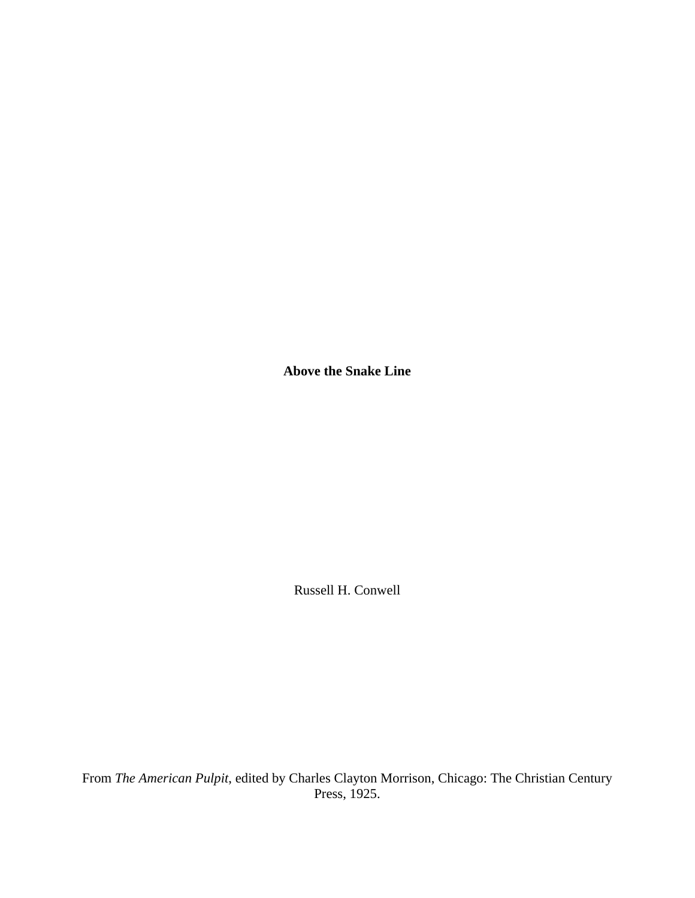**Above the Snake Line** 

Russell H. Conwell

From *The American Pulpit*, edited by Charles Clayton Morrison, Chicago: The Christian Century Press, 1925.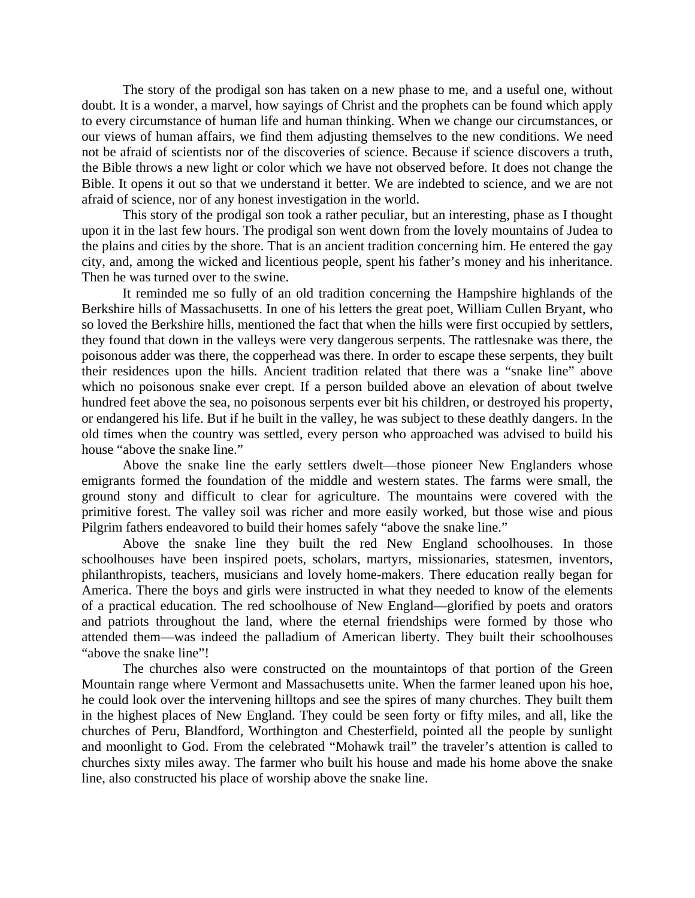The story of the prodigal son has taken on a new phase to me, and a useful one, without doubt. It is a wonder, a marvel, how sayings of Christ and the prophets can be found which apply to every circumstance of human life and human thinking. When we change our circumstances, or our views of human affairs, we find them adjusting themselves to the new conditions. We need not be afraid of scientists nor of the discoveries of science. Because if science discovers a truth, the Bible throws a new light or color which we have not observed before. It does not change the Bible. It opens it out so that we understand it better. We are indebted to science, and we are not afraid of science, nor of any honest investigation in the world.

 This story of the prodigal son took a rather peculiar, but an interesting, phase as I thought upon it in the last few hours. The prodigal son went down from the lovely mountains of Judea to the plains and cities by the shore. That is an ancient tradition concerning him. He entered the gay city, and, among the wicked and licentious people, spent his father's money and his inheritance. Then he was turned over to the swine.

 It reminded me so fully of an old tradition concerning the Hampshire highlands of the Berkshire hills of Massachusetts. In one of his letters the great poet, William Cullen Bryant, who so loved the Berkshire hills, mentioned the fact that when the hills were first occupied by settlers, they found that down in the valleys were very dangerous serpents. The rattlesnake was there, the poisonous adder was there, the copperhead was there. In order to escape these serpents, they built their residences upon the hills. Ancient tradition related that there was a "snake line" above which no poisonous snake ever crept. If a person builded above an elevation of about twelve hundred feet above the sea, no poisonous serpents ever bit his children, or destroyed his property, or endangered his life. But if he built in the valley, he was subject to these deathly dangers. In the old times when the country was settled, every person who approached was advised to build his house "above the snake line."

 Above the snake line the early settlers dwelt—those pioneer New Englanders whose emigrants formed the foundation of the middle and western states. The farms were small, the ground stony and difficult to clear for agriculture. The mountains were covered with the primitive forest. The valley soil was richer and more easily worked, but those wise and pious Pilgrim fathers endeavored to build their homes safely "above the snake line."

 Above the snake line they built the red New England schoolhouses. In those schoolhouses have been inspired poets, scholars, martyrs, missionaries, statesmen, inventors, philanthropists, teachers, musicians and lovely home-makers. There education really began for America. There the boys and girls were instructed in what they needed to know of the elements of a practical education. The red schoolhouse of New England—glorified by poets and orators and patriots throughout the land, where the eternal friendships were formed by those who attended them—was indeed the palladium of American liberty. They built their schoolhouses "above the snake line"!

 The churches also were constructed on the mountaintops of that portion of the Green Mountain range where Vermont and Massachusetts unite. When the farmer leaned upon his hoe, he could look over the intervening hilltops and see the spires of many churches. They built them in the highest places of New England. They could be seen forty or fifty miles, and all, like the churches of Peru, Blandford, Worthington and Chesterfield, pointed all the people by sunlight and moonlight to God. From the celebrated "Mohawk trail" the traveler's attention is called to churches sixty miles away. The farmer who built his house and made his home above the snake line, also constructed his place of worship above the snake line.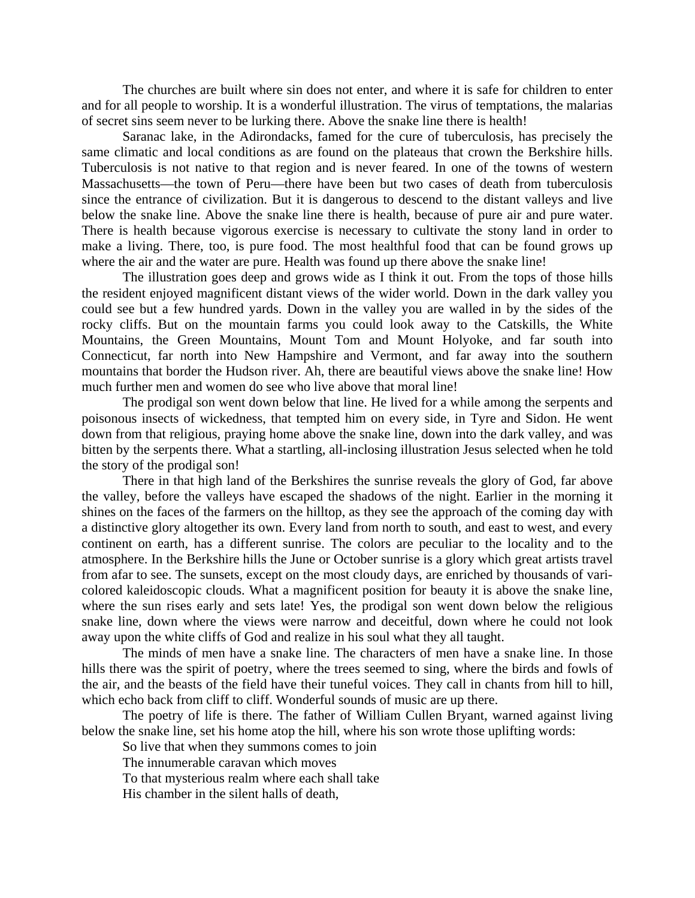The churches are built where sin does not enter, and where it is safe for children to enter and for all people to worship. It is a wonderful illustration. The virus of temptations, the malarias of secret sins seem never to be lurking there. Above the snake line there is health!

 Saranac lake, in the Adirondacks, famed for the cure of tuberculosis, has precisely the same climatic and local conditions as are found on the plateaus that crown the Berkshire hills. Tuberculosis is not native to that region and is never feared. In one of the towns of western Massachusetts—the town of Peru—there have been but two cases of death from tuberculosis since the entrance of civilization. But it is dangerous to descend to the distant valleys and live below the snake line. Above the snake line there is health, because of pure air and pure water. There is health because vigorous exercise is necessary to cultivate the stony land in order to make a living. There, too, is pure food. The most healthful food that can be found grows up where the air and the water are pure. Health was found up there above the snake line!

 The illustration goes deep and grows wide as I think it out. From the tops of those hills the resident enjoyed magnificent distant views of the wider world. Down in the dark valley you could see but a few hundred yards. Down in the valley you are walled in by the sides of the rocky cliffs. But on the mountain farms you could look away to the Catskills, the White Mountains, the Green Mountains, Mount Tom and Mount Holyoke, and far south into Connecticut, far north into New Hampshire and Vermont, and far away into the southern mountains that border the Hudson river. Ah, there are beautiful views above the snake line! How much further men and women do see who live above that moral line!

 The prodigal son went down below that line. He lived for a while among the serpents and poisonous insects of wickedness, that tempted him on every side, in Tyre and Sidon. He went down from that religious, praying home above the snake line, down into the dark valley, and was bitten by the serpents there. What a startling, all-inclosing illustration Jesus selected when he told the story of the prodigal son!

 There in that high land of the Berkshires the sunrise reveals the glory of God, far above the valley, before the valleys have escaped the shadows of the night. Earlier in the morning it shines on the faces of the farmers on the hilltop, as they see the approach of the coming day with a distinctive glory altogether its own. Every land from north to south, and east to west, and every continent on earth, has a different sunrise. The colors are peculiar to the locality and to the atmosphere. In the Berkshire hills the June or October sunrise is a glory which great artists travel from afar to see. The sunsets, except on the most cloudy days, are enriched by thousands of varicolored kaleidoscopic clouds. What a magnificent position for beauty it is above the snake line, where the sun rises early and sets late! Yes, the prodigal son went down below the religious snake line, down where the views were narrow and deceitful, down where he could not look away upon the white cliffs of God and realize in his soul what they all taught.

 The minds of men have a snake line. The characters of men have a snake line. In those hills there was the spirit of poetry, where the trees seemed to sing, where the birds and fowls of the air, and the beasts of the field have their tuneful voices. They call in chants from hill to hill, which echo back from cliff to cliff. Wonderful sounds of music are up there.

 The poetry of life is there. The father of William Cullen Bryant, warned against living below the snake line, set his home atop the hill, where his son wrote those uplifting words:

So live that when they summons comes to join

The innumerable caravan which moves

To that mysterious realm where each shall take

His chamber in the silent halls of death,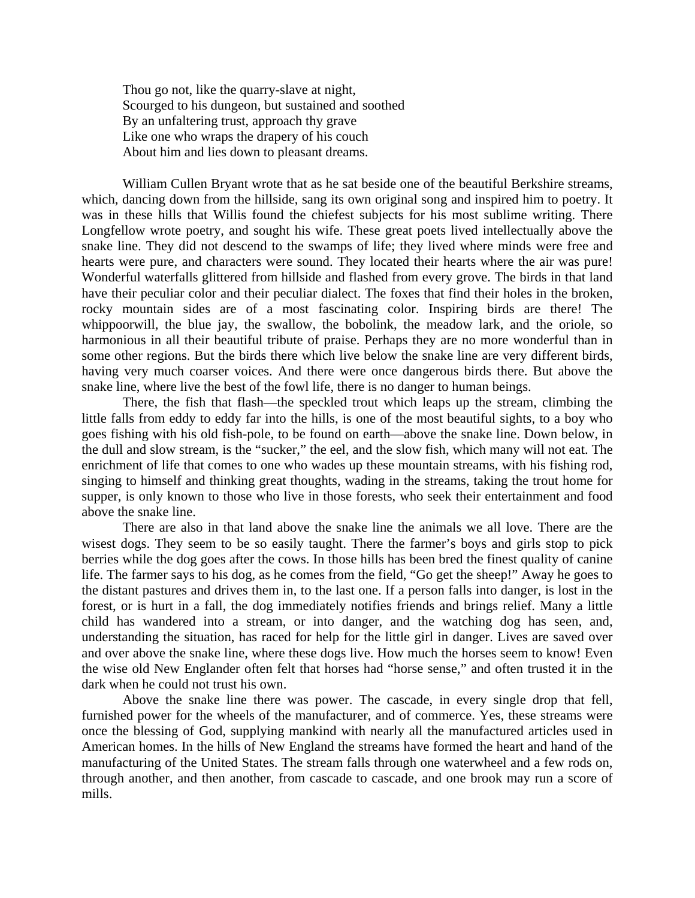Thou go not, like the quarry-slave at night, Scourged to his dungeon, but sustained and soothed By an unfaltering trust, approach thy grave Like one who wraps the drapery of his couch About him and lies down to pleasant dreams.

William Cullen Bryant wrote that as he sat beside one of the beautiful Berkshire streams, which, dancing down from the hillside, sang its own original song and inspired him to poetry. It was in these hills that Willis found the chiefest subjects for his most sublime writing. There Longfellow wrote poetry, and sought his wife. These great poets lived intellectually above the snake line. They did not descend to the swamps of life; they lived where minds were free and hearts were pure, and characters were sound. They located their hearts where the air was pure! Wonderful waterfalls glittered from hillside and flashed from every grove. The birds in that land have their peculiar color and their peculiar dialect. The foxes that find their holes in the broken, rocky mountain sides are of a most fascinating color. Inspiring birds are there! The whippoorwill, the blue jay, the swallow, the bobolink, the meadow lark, and the oriole, so harmonious in all their beautiful tribute of praise. Perhaps they are no more wonderful than in some other regions. But the birds there which live below the snake line are very different birds, having very much coarser voices. And there were once dangerous birds there. But above the snake line, where live the best of the fowl life, there is no danger to human beings.

 There, the fish that flash—the speckled trout which leaps up the stream, climbing the little falls from eddy to eddy far into the hills, is one of the most beautiful sights, to a boy who goes fishing with his old fish-pole, to be found on earth—above the snake line. Down below, in the dull and slow stream, is the "sucker," the eel, and the slow fish, which many will not eat. The enrichment of life that comes to one who wades up these mountain streams, with his fishing rod, singing to himself and thinking great thoughts, wading in the streams, taking the trout home for supper, is only known to those who live in those forests, who seek their entertainment and food above the snake line.

 There are also in that land above the snake line the animals we all love. There are the wisest dogs. They seem to be so easily taught. There the farmer's boys and girls stop to pick berries while the dog goes after the cows. In those hills has been bred the finest quality of canine life. The farmer says to his dog, as he comes from the field, "Go get the sheep!" Away he goes to the distant pastures and drives them in, to the last one. If a person falls into danger, is lost in the forest, or is hurt in a fall, the dog immediately notifies friends and brings relief. Many a little child has wandered into a stream, or into danger, and the watching dog has seen, and, understanding the situation, has raced for help for the little girl in danger. Lives are saved over and over above the snake line, where these dogs live. How much the horses seem to know! Even the wise old New Englander often felt that horses had "horse sense," and often trusted it in the dark when he could not trust his own.

 Above the snake line there was power. The cascade, in every single drop that fell, furnished power for the wheels of the manufacturer, and of commerce. Yes, these streams were once the blessing of God, supplying mankind with nearly all the manufactured articles used in American homes. In the hills of New England the streams have formed the heart and hand of the manufacturing of the United States. The stream falls through one waterwheel and a few rods on, through another, and then another, from cascade to cascade, and one brook may run a score of mills.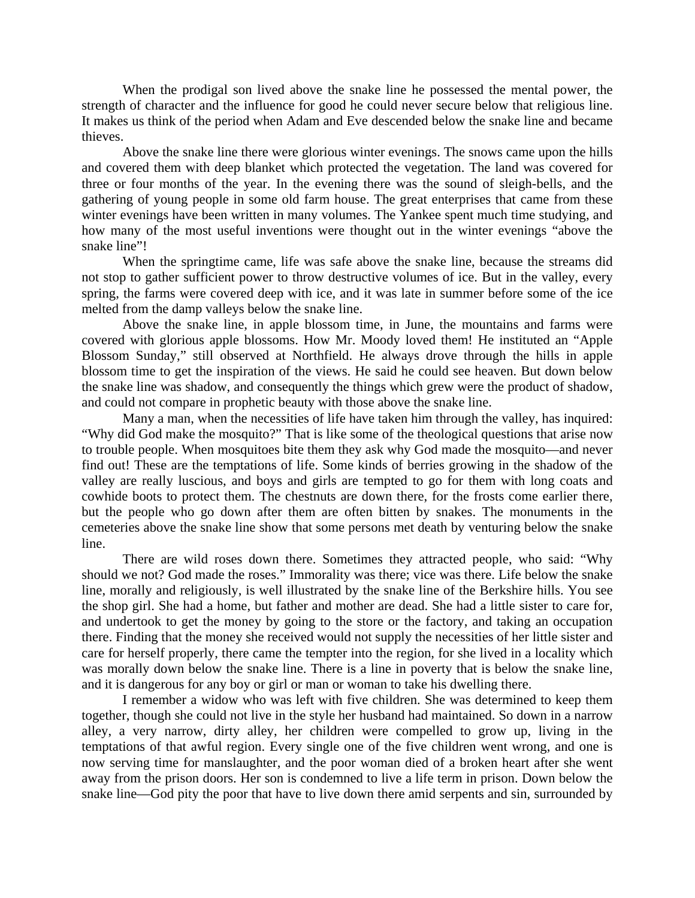When the prodigal son lived above the snake line he possessed the mental power, the strength of character and the influence for good he could never secure below that religious line. It makes us think of the period when Adam and Eve descended below the snake line and became thieves.

 Above the snake line there were glorious winter evenings. The snows came upon the hills and covered them with deep blanket which protected the vegetation. The land was covered for three or four months of the year. In the evening there was the sound of sleigh-bells, and the gathering of young people in some old farm house. The great enterprises that came from these winter evenings have been written in many volumes. The Yankee spent much time studying, and how many of the most useful inventions were thought out in the winter evenings "above the snake line"!

 When the springtime came, life was safe above the snake line, because the streams did not stop to gather sufficient power to throw destructive volumes of ice. But in the valley, every spring, the farms were covered deep with ice, and it was late in summer before some of the ice melted from the damp valleys below the snake line.

 Above the snake line, in apple blossom time, in June, the mountains and farms were covered with glorious apple blossoms. How Mr. Moody loved them! He instituted an "Apple Blossom Sunday," still observed at Northfield. He always drove through the hills in apple blossom time to get the inspiration of the views. He said he could see heaven. But down below the snake line was shadow, and consequently the things which grew were the product of shadow, and could not compare in prophetic beauty with those above the snake line.

 Many a man, when the necessities of life have taken him through the valley, has inquired: "Why did God make the mosquito?" That is like some of the theological questions that arise now to trouble people. When mosquitoes bite them they ask why God made the mosquito—and never find out! These are the temptations of life. Some kinds of berries growing in the shadow of the valley are really luscious, and boys and girls are tempted to go for them with long coats and cowhide boots to protect them. The chestnuts are down there, for the frosts come earlier there, but the people who go down after them are often bitten by snakes. The monuments in the cemeteries above the snake line show that some persons met death by venturing below the snake line.

 There are wild roses down there. Sometimes they attracted people, who said: "Why should we not? God made the roses." Immorality was there; vice was there. Life below the snake line, morally and religiously, is well illustrated by the snake line of the Berkshire hills. You see the shop girl. She had a home, but father and mother are dead. She had a little sister to care for, and undertook to get the money by going to the store or the factory, and taking an occupation there. Finding that the money she received would not supply the necessities of her little sister and care for herself properly, there came the tempter into the region, for she lived in a locality which was morally down below the snake line. There is a line in poverty that is below the snake line, and it is dangerous for any boy or girl or man or woman to take his dwelling there.

 I remember a widow who was left with five children. She was determined to keep them together, though she could not live in the style her husband had maintained. So down in a narrow alley, a very narrow, dirty alley, her children were compelled to grow up, living in the temptations of that awful region. Every single one of the five children went wrong, and one is now serving time for manslaughter, and the poor woman died of a broken heart after she went away from the prison doors. Her son is condemned to live a life term in prison. Down below the snake line—God pity the poor that have to live down there amid serpents and sin, surrounded by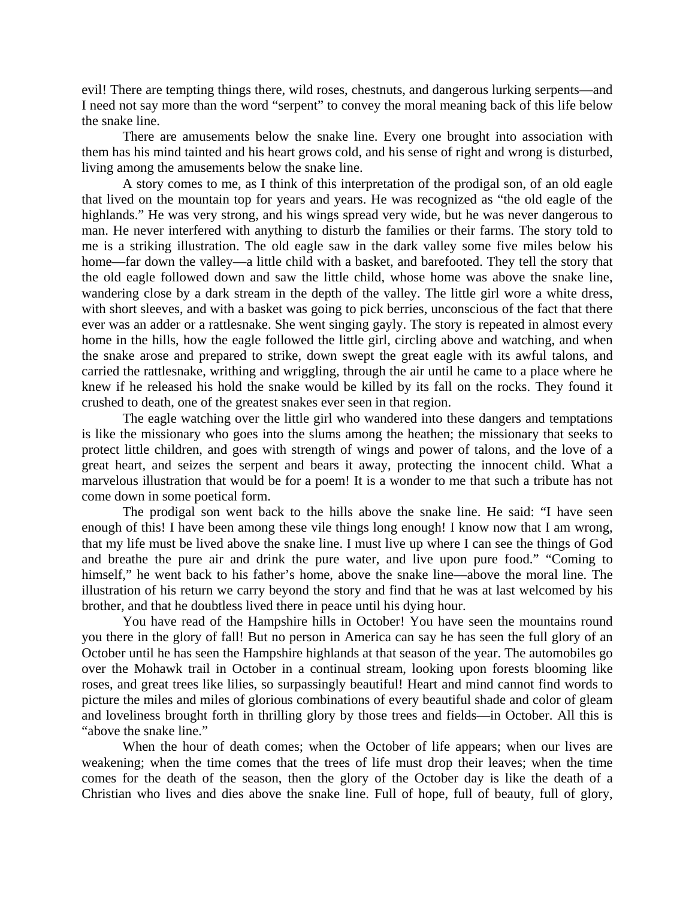evil! There are tempting things there, wild roses, chestnuts, and dangerous lurking serpents—and I need not say more than the word "serpent" to convey the moral meaning back of this life below the snake line.

 There are amusements below the snake line. Every one brought into association with them has his mind tainted and his heart grows cold, and his sense of right and wrong is disturbed, living among the amusements below the snake line.

 A story comes to me, as I think of this interpretation of the prodigal son, of an old eagle that lived on the mountain top for years and years. He was recognized as "the old eagle of the highlands." He was very strong, and his wings spread very wide, but he was never dangerous to man. He never interfered with anything to disturb the families or their farms. The story told to me is a striking illustration. The old eagle saw in the dark valley some five miles below his home—far down the valley—a little child with a basket, and barefooted. They tell the story that the old eagle followed down and saw the little child, whose home was above the snake line, wandering close by a dark stream in the depth of the valley. The little girl wore a white dress, with short sleeves, and with a basket was going to pick berries, unconscious of the fact that there ever was an adder or a rattlesnake. She went singing gayly. The story is repeated in almost every home in the hills, how the eagle followed the little girl, circling above and watching, and when the snake arose and prepared to strike, down swept the great eagle with its awful talons, and carried the rattlesnake, writhing and wriggling, through the air until he came to a place where he knew if he released his hold the snake would be killed by its fall on the rocks. They found it crushed to death, one of the greatest snakes ever seen in that region.

 The eagle watching over the little girl who wandered into these dangers and temptations is like the missionary who goes into the slums among the heathen; the missionary that seeks to protect little children, and goes with strength of wings and power of talons, and the love of a great heart, and seizes the serpent and bears it away, protecting the innocent child. What a marvelous illustration that would be for a poem! It is a wonder to me that such a tribute has not come down in some poetical form.

 The prodigal son went back to the hills above the snake line. He said: "I have seen enough of this! I have been among these vile things long enough! I know now that I am wrong, that my life must be lived above the snake line. I must live up where I can see the things of God and breathe the pure air and drink the pure water, and live upon pure food." "Coming to himself," he went back to his father's home, above the snake line—above the moral line. The illustration of his return we carry beyond the story and find that he was at last welcomed by his brother, and that he doubtless lived there in peace until his dying hour.

 You have read of the Hampshire hills in October! You have seen the mountains round you there in the glory of fall! But no person in America can say he has seen the full glory of an October until he has seen the Hampshire highlands at that season of the year. The automobiles go over the Mohawk trail in October in a continual stream, looking upon forests blooming like roses, and great trees like lilies, so surpassingly beautiful! Heart and mind cannot find words to picture the miles and miles of glorious combinations of every beautiful shade and color of gleam and loveliness brought forth in thrilling glory by those trees and fields—in October. All this is "above the snake line."

 When the hour of death comes; when the October of life appears; when our lives are weakening; when the time comes that the trees of life must drop their leaves; when the time comes for the death of the season, then the glory of the October day is like the death of a Christian who lives and dies above the snake line. Full of hope, full of beauty, full of glory,